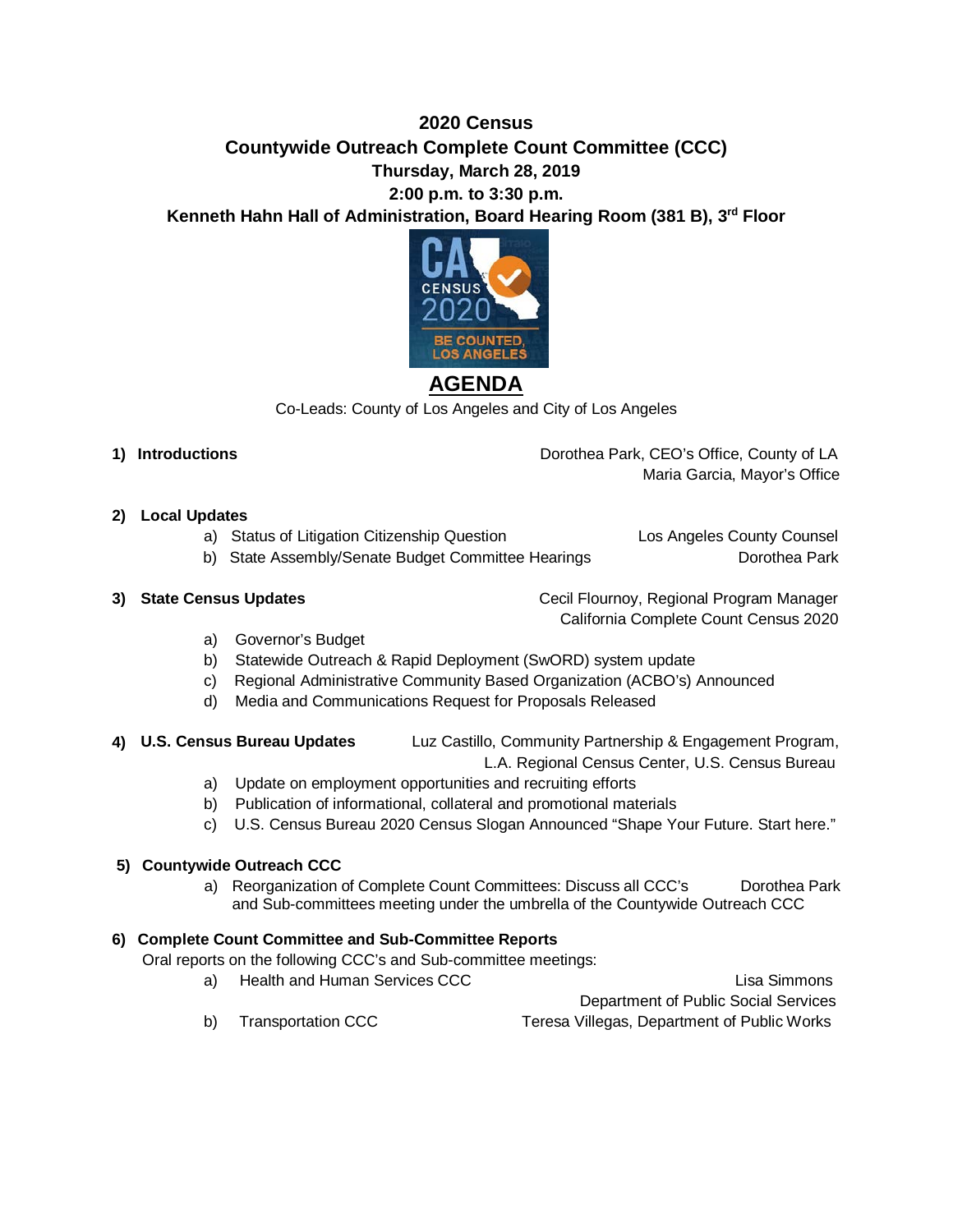# **2020 Census Countywide Outreach Complete Count Committee (CCC) Thursday, March 28, 2019 2:00 p.m. to 3:30 p.m.**

**Kenneth Hahn Hall of Administration, Board Hearing Room (381 B), 3rd Floor**



# **AGENDA**

Co-Leads: County of Los Angeles and City of Los Angeles

- 
- **1) Introductions** Dorothea Park, CEO's Office, County of LA Maria Garcia, Mayor's Office
- **2) Local Updates** 
	- a) Status of Litigation Citizenship Question Los Angeles County Counsel
	- b) State Assembly/Senate Budget Committee Hearings Dorothea Park

**3) State Census Updates Cecil Flournoy, Regional Program Manager Cecil Flournoy**, Regional Program Manager California Complete Count Census 2020

- a) Governor's Budget
- b) Statewide Outreach & Rapid Deployment (SwORD) system update
- c) Regional Administrative Community Based Organization (ACBO's) Announced
- d) Media and Communications Request for Proposals Released

#### **4) U.S. Census Bureau Updates** Luz Castillo, Community Partnership & Engagement Program, L.A. Regional Census Center, U.S. Census Bureau

- a) Update on employment opportunities and recruiting efforts
- b) Publication of informational, collateral and promotional materials
- c) U.S. Census Bureau 2020 Census Slogan Announced "Shape Your Future. Start here."

#### **5) Countywide Outreach CCC**

a) Reorganization of Complete Count Committees: Discuss all CCC's Dorothea Park and Sub-committees meeting under the umbrella of the Countywide Outreach CCC

## **6) Complete Count Committee and Sub-Committee Reports**

Oral reports on the following CCC's and Sub-committee meetings:

a) Health and Human Services CCC **Lisa Simmons** Lisa Simmons Department of Public Social Services b) Transportation CCC Teresa Villegas, Department of Public Works